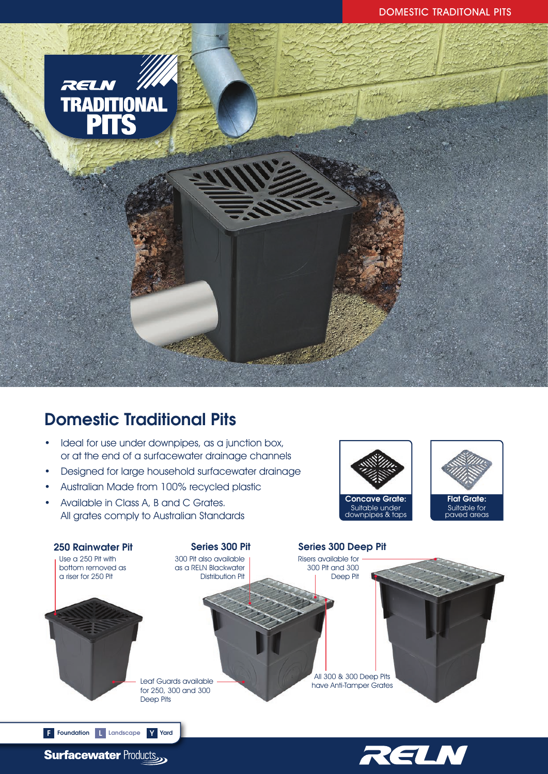

# Domestic Traditional Pits

- Ideal for use under downpipes, as a junction box, or at the end of a surfacewater drainage channels
- Designed for large household surfacewater drainage
- Australian Made from 100% recycled plastic
- Available in Class A, B and C Grates. All grates comply to Australian Standards







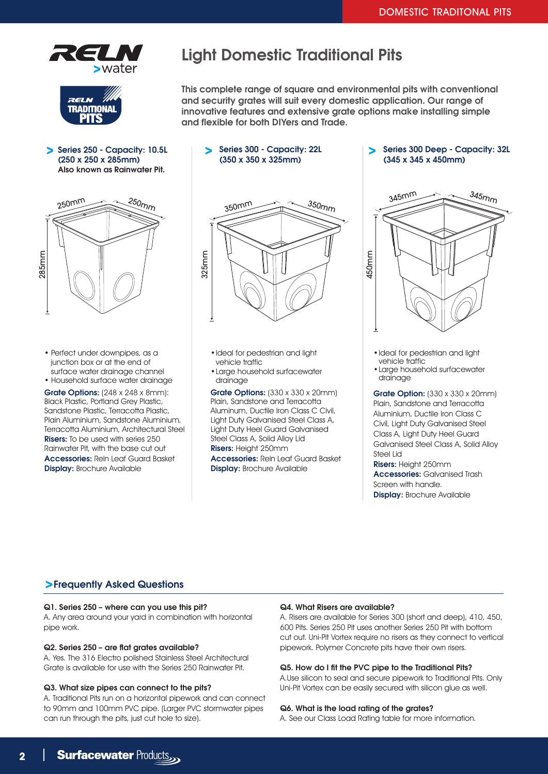



Series 250 - Capacity: 10.5L (250 x 250 x 285mm) Also known as Rainwater Pit.

## Light Domestic Traditional Pits

This complete range of square and environmental pits with conventional and security grates will suit every domestic application. Our range of innovative features and extensive grate options make installing simple and flexible for both DIYers and Trade.

- Series 300 Capacity: 22L (350 x 350 x 325mm)
- 250mm  $250<sub>mp</sub>$ 285mm
	- Perfect under downpipes, as a junction box or at the end of surface water drainage channel
	- Household surface water drainage

Grate Options: (248 x 248 x 8mm): Black Plastic, Portland Grey Plastic, Sandstone Plastic, Terracotta Plastic, Plain Aluminium, Sandstone Aluminium, Terracotta Aluminium, Architectural Steel Risers: To be used with series 250 Rainwater Pit, with the base cut out Accessories: Reln Leaf Guard Basket Display: Brochure Available



- •Ideal for pedestrian and light vehicle traffic
- •Large household surfacewater drainage

Grate Options: (330 x 330 x 20mm) Plain, Sandstone and Terracotta Aluminum, Ductile Iron Class C Civil, Light Duty Galvanised Steel Class A, Light Duty Heel Guard Galvanised Steel Class A, Solid Alloy Lid Risers: Height 250mm

Accessories: Reln Leaf Guard Basket Display: Brochure Available

Series 300 Deep - Capacity: 32L (345 x 345 x 450mm)



•Ideal for pedestrian and light vehicle traffic

•Large household surfacewater drainage

**Grate Option:** (330 x 330 x 20mm) Plain, Sandstone and Terracotta Aluminium, Ductile Iron Class C Civil, Light Duty Galvanised Steel Class A, Light Duty Heel Guard Galvanised Steel Class A, Solid Alloy Steel Lid

Risers: Height 250mm Accessories: Galvanised Trash Screen with handle. Display: Brochure Available

### Frequently Asked Questions

#### Q1. Series 250 – where can you use this pit?

A. Any area around your yard in combination with horizontal pipe work.

#### Q2. Series 250 – are flat grates available?

A. Yes. The 316 Electro polished Stainless Steel Architectural Grate is available for use with the Series 250 Rainwater Pit.

#### Q3. What size pipes can connect to the pits?

A. Traditional Pits run on a horizontal pipework and can connect to 90mm and 100mm PVC pipe. (Larger PVC stormwater pipes can run through the pits, just cut hole to size).

#### Q4. What Risers are available?

A. Risers are available for Series 300 (short and deep), 410, 450, 600 Pits. Series 250 Pit uses another Series 250 Pit with bottom cut out. Uni-Pit Vortex require no risers as they connect to vertical pipework. Polymer Concrete pits have their own risers.

#### Q5. How do I fit the PVC pipe to the Traditional Pits?

A.Use silicon to seal and secure pipework to Traditional Pits. Only Uni-Pit Vortex can be easily secured with silicon glue as well.

#### Q6. What is the load rating of the grates?

A. See our Class Load Rating table for more information.